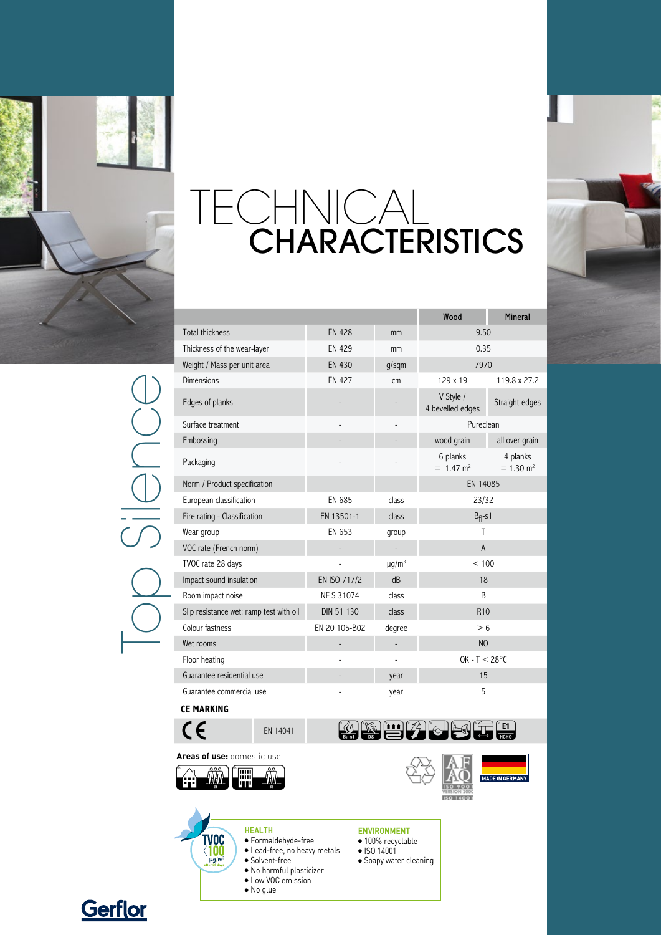

TECHNICAL CHARACTERISTICS



Top Silence

|                                         |               |                        | Wood                                | <b>Mineral</b>                      |
|-----------------------------------------|---------------|------------------------|-------------------------------------|-------------------------------------|
| <b>Total thickness</b>                  | <b>EN 428</b> | mm                     | 9.50                                |                                     |
| Thickness of the wear-layer             | <b>EN 429</b> | mm                     | 0.35                                |                                     |
| Weight / Mass per unit area             | <b>EN 430</b> | $q/s$ qm               | 7970                                |                                     |
| <b>Dimensions</b>                       | <b>EN 427</b> | cm                     | 129 x 19                            | 119.8 x 27.2                        |
| Edges of planks                         |               |                        | V Style /<br>4 bevelled edges       | Straight edges                      |
| Surface treatment                       | -             |                        | Pureclean                           |                                     |
| Embossing                               |               |                        | wood grain                          | all over grain                      |
| Packaging                               |               |                        | 6 planks<br>$= 1.47$ m <sup>2</sup> | 4 planks<br>$= 1.30$ m <sup>2</sup> |
| Norm / Product specification            |               |                        | EN 14085                            |                                     |
| European classification                 | <b>EN 685</b> | class                  | 23/32                               |                                     |
| Fire rating - Classification            | EN 13501-1    | class                  | $B_{fl}$ -s1                        |                                     |
| Wear group                              | EN 653        | qroup                  | T                                   |                                     |
| VOC rate (French norm)                  |               |                        | $\overline{A}$                      |                                     |
| TVOC rate 28 days                       |               | $\mu$ g/m <sup>3</sup> | < 100                               |                                     |
| Impact sound insulation                 | EN ISO 717/2  | dB                     | 18                                  |                                     |
| Room impact noise                       | NF S 31074    | class                  | <sub>R</sub>                        |                                     |
| Slip resistance wet: ramp test with oil | DIN 51 130    | class                  | <b>R10</b>                          |                                     |
| Colour fastness                         | EN 20 105-B02 | degree                 | > 6                                 |                                     |
| Wet rooms                               |               |                        | N <sub>O</sub>                      |                                     |
| Floor heating                           |               | ÷,                     | $OK - T < 28°C$                     |                                     |
| Guarantee residential use               |               | year                   | 15                                  |                                     |
| Guarantee commercial use                |               | year                   | 5                                   |                                     |
| <b>CE MARKING</b>                       |               |                        |                                     |                                     |

**Areas of use:** domestic use



**TVOC**  $\langle 100$  $\mu$ g/m

**Health**

 $\bullet$  Formaldehyde-free • Lead-free, no heavy metals

 $\bullet$  Solvent-free • No harmful plasticizer • Low VOC emission • No glue







## **environMENT**

- · 100% recyclable
- ISO 14001
- **·** Soapy water cleaning